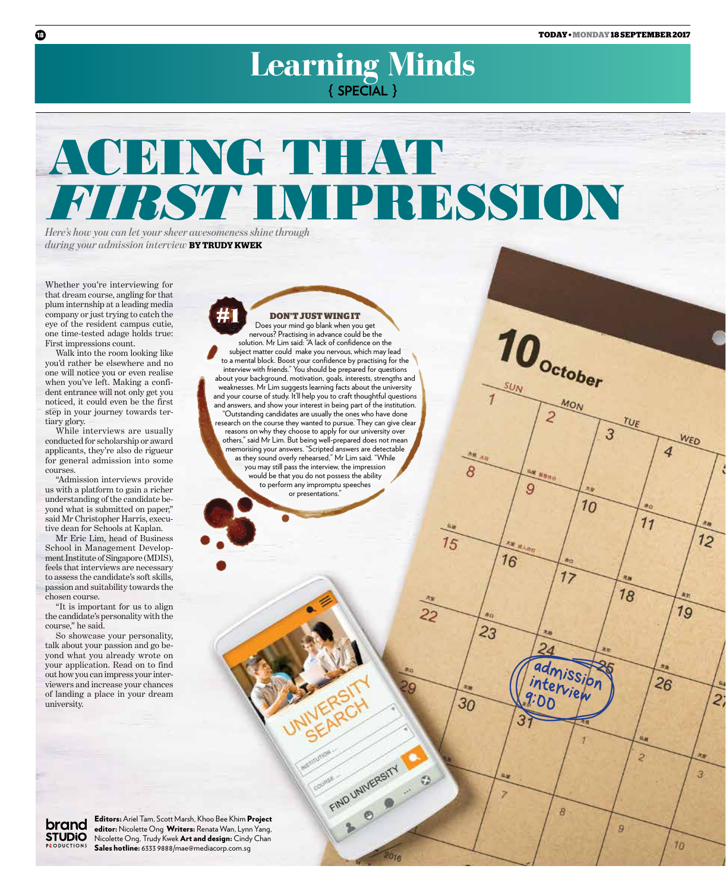$10<sub>october</sub>$ 

9

16

 $\overline{23}$ 

30

 $15$ 

22

FIND UNIVERSITY

 $20n$ 

MON

TUE

WED

 $12$ 

2.

3

 $70$ 

19

 $26$ 

2

9

4

 $11$ 

 $18$ 

3

 $10$ 

 $17$ 

admission interview

 $\theta$ 

 $9:00$ 

# Learning Minds

# ACEING THAT FIRST IMPRESSION

**Don't just wing it** Does your mind go blank when you get nervous? Practising in advance could be the solution. Mr Lim said: "A lack of confidence on the subject matter could make you nervous, which may lead to a mental block. Boost your confidence by practising for the interview with friends." You should be prepared for questions about your background, motivation, goals, interests, strengths and weaknesses. Mr Lim suggests learning facts about the university and your course of study. It'll help you to craft thoughtful questions and answers, and show your interest in being part of the institution. "Outstanding candidates are usually the ones who have done research on the course they wanted to pursue. They can give clear reasons on why they choose to apply for our university over others," said Mr Lim. But being well-prepared does not mean memorising your answers. "Scripted answers are detectable as they sound overly rehearsed," Mr Lim said. "While you may still pass the interview, the impression would be that you do not possess the ability to perform any impromptu speeches or presentations."

*Here's how you can let your sheer awesomeness shine through during your admission interview* **by Trudy kwek**

Whether you're interviewing for that dream course, angling for that plum internship at a leading media company or just trying to catch the eye of the resident campus cutie, one time-tested adage holds true: First impressions count.

Walk into the room looking like you'd rather be elsewhere and no one will notice you or even realise when you've left. Making a confident entrance will not only get you noticed, it could even be the first step in your journey towards tertiary glory.

While interviews are usually conducted for scholarship or award applicants, they're also de rigueur for general admission into some courses.

"Admission interviews provide us with a platform to gain a richer understanding of the candidate beyond what is submitted on paper," said Mr Christopher Harris, executive dean for Schools at Kaplan.

Mr Eric Lim, head of Business School in Management Development Institute of Singapore (MDIS), feels that interviews are necessary to assess the candidate's soft skills, passion and suitability towards the chosen course.

"It is important for us to align the candidate's personality with the course," he said.

So showcase your personality, talk about your passion and go beyond what you already wrote on your application. Read on to find out how you can impress your interviewers and increase your chances of landing a place in your dream university.

brand **STUDIO PRODUCTIONS** 

Editors: Ariel Tam, Scott Marsh, Khoo Bee Khim Project editor: Nicolette Ong Writers: Renata Wan, Lynn Yang, Nicolette Ong, Trudy Kwek Art and design: Cindy Chan Sales hotline: 6333 9888/mae@mediacorp.com.sg